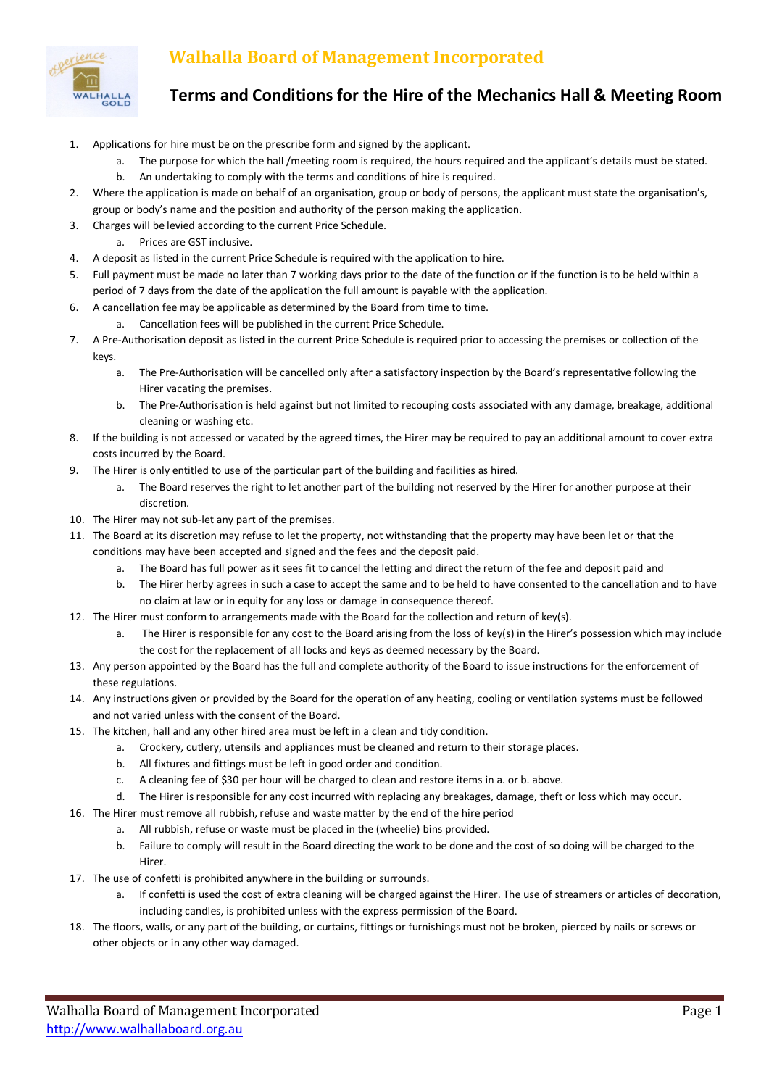

## **Walhalla Board of Management Incorporated**

## **Terms and Conditions for the Hire of the Mechanics Hall & Meeting Room**

- 1. Applications for hire must be on the prescribe form and signed by the applicant.
	- a. The purpose for which the hall /meeting room is required, the hours required and the applicant's details must be stated. b. An undertaking to comply with the terms and conditions of hire is required.
- 2. Where the application is made on behalf of an organisation, group or body of persons, the applicant must state the organisation's, group or body's name and the position and authority of the person making the application.
- 3. Charges will be levied according to the current Price Schedule.
	- a. Prices are GST inclusive.
- 4. A deposit as listed in the current Price Schedule is required with the application to hire.
- 5. Full payment must be made no later than 7 working days prior to the date of the function or if the function is to be held within a period of 7 days from the date of the application the full amount is payable with the application.
- 6. A cancellation fee may be applicable as determined by the Board from time to time.
	- a. Cancellation fees will be published in the current Price Schedule.
- 7. A Pre-Authorisation deposit as listed in the current Price Schedule is required prior to accessing the premises or collection of the keys.
	- a. The Pre-Authorisation will be cancelled only after a satisfactory inspection by the Board's representative following the Hirer vacating the premises.
	- b. The Pre-Authorisation is held against but not limited to recouping costs associated with any damage, breakage, additional cleaning or washing etc.
- 8. If the building is not accessed or vacated by the agreed times, the Hirer may be required to pay an additional amount to cover extra costs incurred by the Board.
- 9. The Hirer is only entitled to use of the particular part of the building and facilities as hired.
	- a. The Board reserves the right to let another part of the building not reserved by the Hirer for another purpose at their discretion.
- 10. The Hirer may not sub-let any part of the premises.
- 11. The Board at its discretion may refuse to let the property, not withstanding that the property may have been let or that the conditions may have been accepted and signed and the fees and the deposit paid.
	- a. The Board has full power as it sees fit to cancel the letting and direct the return of the fee and deposit paid and
	- b. The Hirer herby agrees in such a case to accept the same and to be held to have consented to the cancellation and to have no claim at law or in equity for any loss or damage in consequence thereof.
- 12. The Hirer must conform to arrangements made with the Board for the collection and return of key(s).
	- a. The Hirer is responsible for any cost to the Board arising from the loss of key(s) in the Hirer's possession which may include the cost for the replacement of all locks and keys as deemed necessary by the Board.
- 13. Any person appointed by the Board has the full and complete authority of the Board to issue instructions for the enforcement of these regulations.
- 14. Any instructions given or provided by the Board for the operation of any heating, cooling or ventilation systems must be followed and not varied unless with the consent of the Board.
- 15. The kitchen, hall and any other hired area must be left in a clean and tidy condition.
	- a. Crockery, cutlery, utensils and appliances must be cleaned and return to their storage places.
	- b. All fixtures and fittings must be left in good order and condition.
	- c. A cleaning fee of \$30 per hour will be charged to clean and restore items in a. or b. above.
	- The Hirer is responsible for any cost incurred with replacing any breakages, damage, theft or loss which may occur.
- 16. The Hirer must remove all rubbish, refuse and waste matter by the end of the hire period
	- a. All rubbish, refuse or waste must be placed in the (wheelie) bins provided.
	- b. Failure to comply will result in the Board directing the work to be done and the cost of so doing will be charged to the Hirer.
- 17. The use of confetti is prohibited anywhere in the building or surrounds.
	- If confetti is used the cost of extra cleaning will be charged against the Hirer. The use of streamers or articles of decoration, including candles, is prohibited unless with the express permission of the Board.
- 18. The floors, walls, or any part of the building, or curtains, fittings or furnishings must not be broken, pierced by nails or screws or other objects or in any other way damaged.